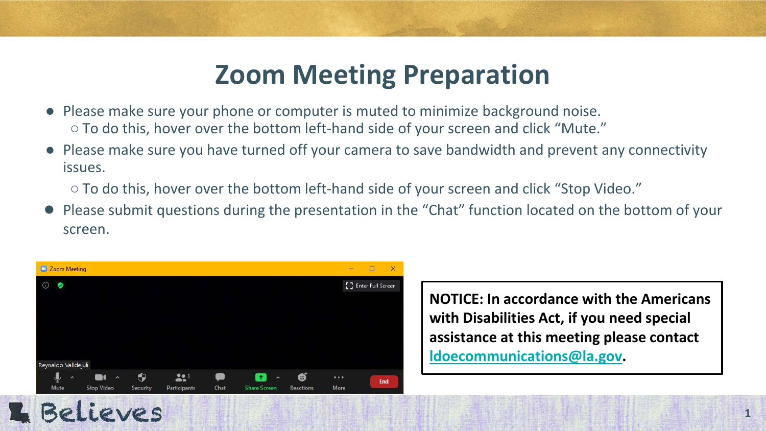#### **Zoom Meeting Preparation**

- Please make sure your phone or computer is muted to minimize background noise. ○ To do this, hover over the bottom left-hand side of your screen and click "Mute."
- Please make sure you have turned off your camera to save bandwidth and prevent any connectivity issues.

○ To do this, hover over the bottom left-hand side of your screen and click "Stop Video."

● Please submit questions during the presentation in the "Chat" function located on the bottom of your screen.



**NOTICE: In accordance with the Americans with Disabilities Act, if you need special assistance at this meeting please contact [ldoecommunications@la.gov.](mailto:ldoecommunications@la.gov)** 

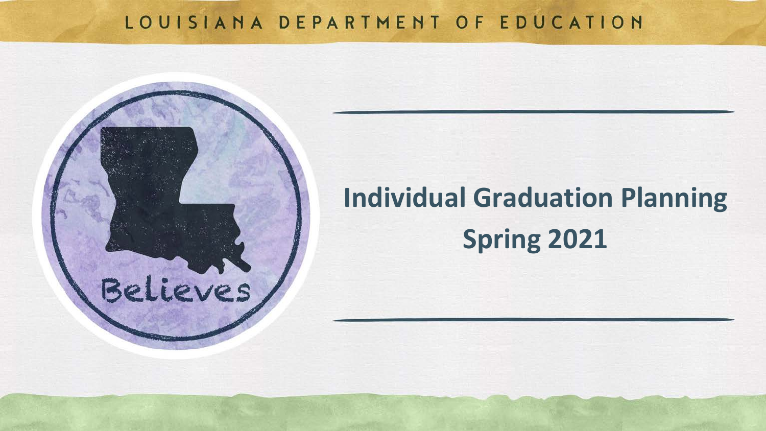#### LOUISIANA DEPARTMENT OF EDUCATION

Believes

# **Individual Graduation Planning Spring 2021**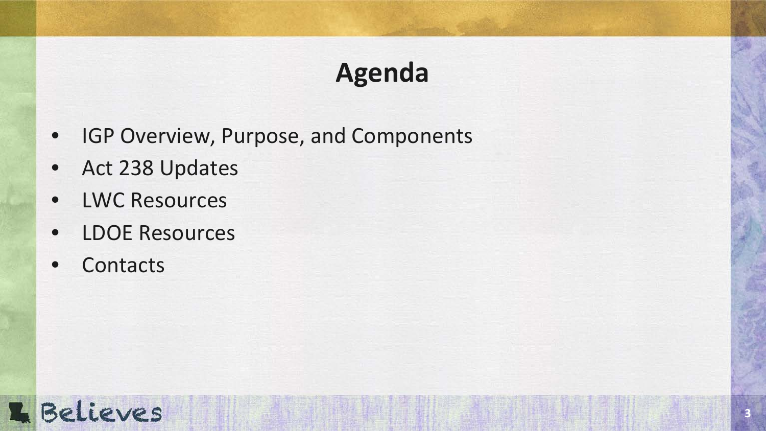# **Agenda**

- IGP Overview, Purpose, and Components
- Act 238 Updates
- LWC Resources
- LDOE Resources
- **Contacts**

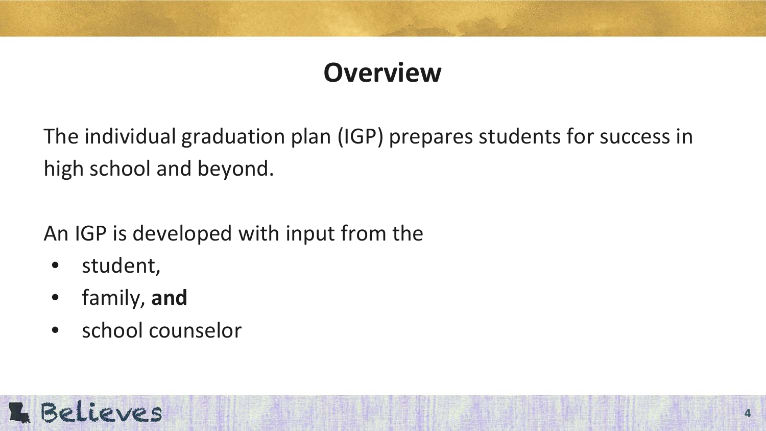### **Overview**

The individual graduation plan (IGP) prepares students for success in high school and beyond.

An IGP is developed with input from the

- student,
- family, **and**
- school counselor

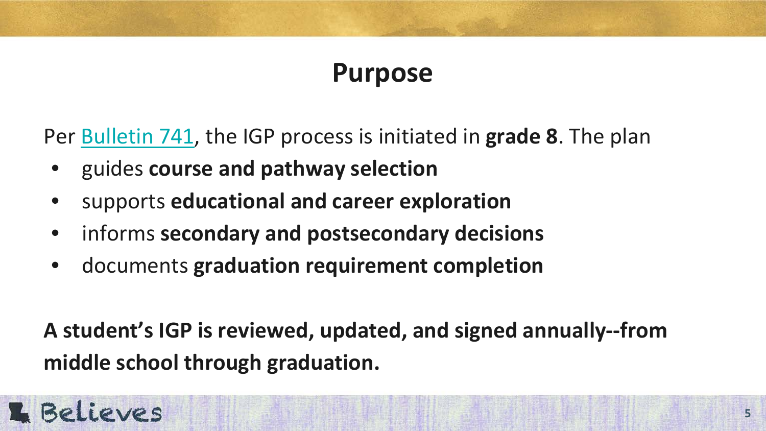### **Purpose**

Per [Bulletin 741,](https://www.doa.la.gov/osr/LAC/28v115/28v115.doc) the IGP process is initiated in **grade 8**. The plan

- guides **course and pathway selection**
- supports **educational and career exploration**
- informs **secondary and postsecondary decisions**
- documents **graduation requirement completion**

**A student's IGP is reviewed, updated, and signed annually--from middle school through graduation.**

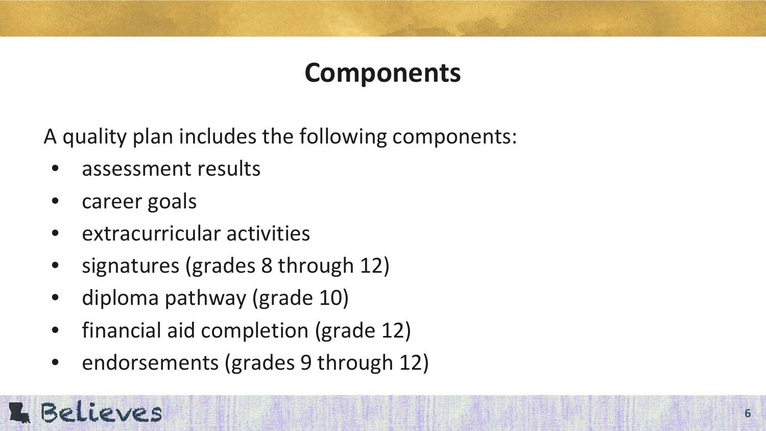### **Components**

A quality plan includes the following components:

- assessment results
- career goals
- extracurricular activities
- signatures (grades 8 through 12)
- diploma pathway (grade 10)
- financial aid completion (grade 12)
- endorsements (grades 9 through 12)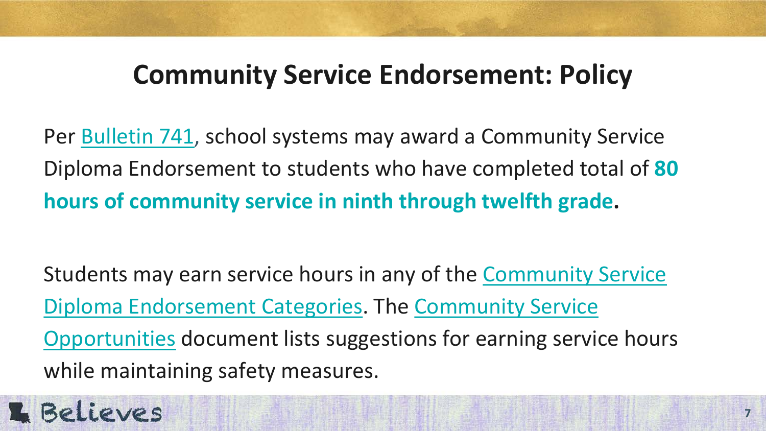#### **Community Service Endorsement: Policy**

Per [Bulletin 741,](http://www.doa.la.gov/osr/lac/28v115/28v115.doc) school systems may award a Community Service Diploma Endorsement to students who have completed total of **[80](https://go.boarddocs.com/la/bese/Board.nsf/files/BRQLCQ55C613/$file/AGII_B741_0820.pdf)  [hours of community service in ninth through twelfth grade.](https://go.boarddocs.com/la/bese/Board.nsf/files/BRQLCQ55C613/$file/AGII_B741_0820.pdf)**

[Students may earn service hours in any of the Community Service](https://www.louisianabelieves.com/docs/default-source/counselor-toolbox-resources/community-service-diploma-endorsement-categories-with-descriptions-and-examples-of-non-profits.pdf?sfvrsn=0)  Diploma Endorsement Categories. The [C](https://www.louisianabelieves.com/docs/default-source/counselor-toolbox-resources/community-service-opportunities.pdf?sfvrsn=4ba36718_2)ommunity Service Opportunities [document lists suggestions for earning servic](https://www.louisianabelieves.com/docs/default-source/counselor-toolbox-resources/community-service-opportunities.pdf?sfvrsn=4ba36718_2)e hours while maintaining safety measures.

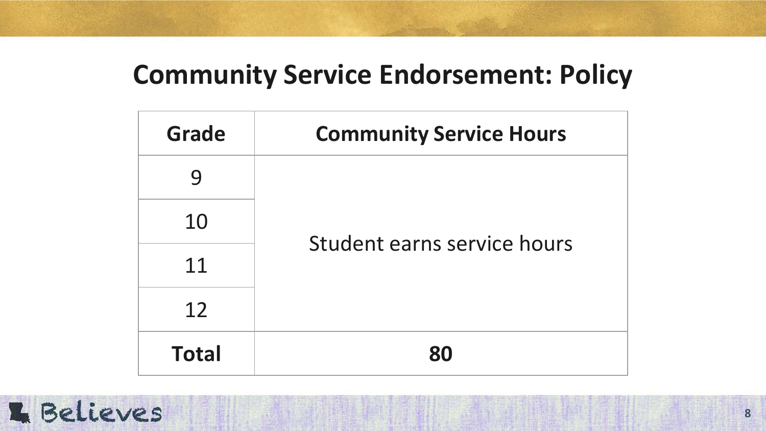#### **Community Service Endorsement: Policy**

| Grade        | <b>Community Service Hours</b> |
|--------------|--------------------------------|
| 9            | Student earns service hours    |
| 10           |                                |
| 11           |                                |
| 12           |                                |
| <b>Total</b> | 80                             |

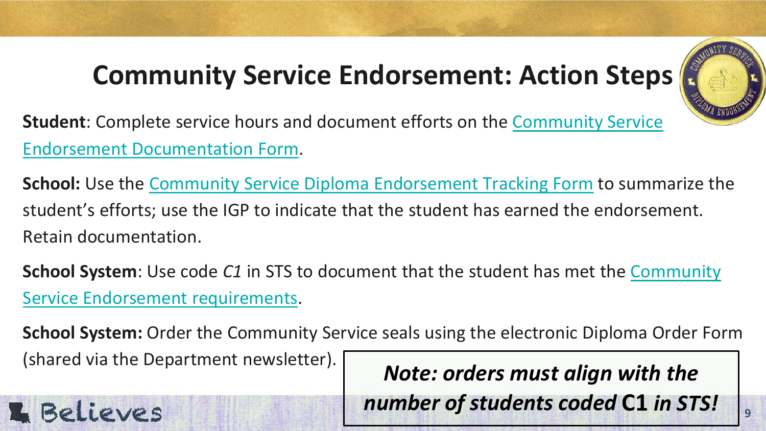# **Community Service Endorsement: Action Steps**



**9**

**Student**[: Complete service hours and document efforts on the Community Service](https://www.louisianabelieves.com/docs/default-source/counselor-toolbox-resources/community-service-diploma-endorsement-student-documentation-form.pdf?sfvrsn=0) Endorsement [Documentation Form](https://www.louisianabelieves.com/docs/default-source/counselor-toolbox-resources/community-service-diploma-endorsement-student-documentation-form.pdf?sfvrsn=0).

**School:** Use the [Community Service Diploma Endorsement Tracking Form](https://www.louisianabelieves.com/docs/default-source/counselor-toolbox-resources/community-service-diploma-endorsement-tracking-form.pdf?sfvrsn=74ca851f_8) to summarize the student's efforts; use the IGP to indicate that the student has earned the endorsement. Retain documentation.

**School System**: Use code *C1* [in STS to document that the student has met the Community](https://www.louisianabelieves.com/courses/diploma-endorsements)  Service Endorsement requirements.

**School System:** Order the Community Service seals using the electronic Diploma Order Form (shared via the Department newsletter). *Note: orders must align with the* 

**E** Believes

*number of students coded* **C1** *in STS!*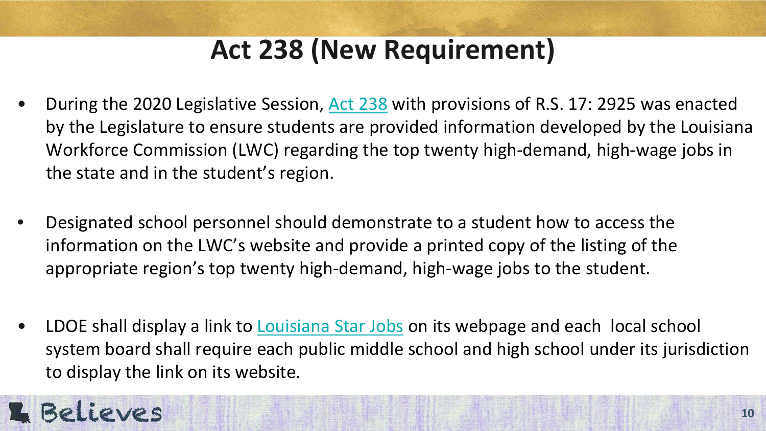# **Act 238 (New Requirement)**

- During the 2020 Legislative Session, [Act 238](http://www.legis.la.gov/legis/ViewDocument.aspx?d=1182292) with provisions of R.S. 17: 2925 was enacted by the Legislature to ensure students are provided information developed by the Louisiana Workforce Commission (LWC) regarding the top twenty high-demand, high-wage jobs in the state and in the student's region.
- Designated school personnel should demonstrate to a student how to access the information on the LWC's website and provide a printed copy of the listing of the appropriate region's top twenty high-demand, high-wage jobs to the student.
- LDOE shall display a link to [Louisiana Star Jobs](https://www.louisianabelieves.com/resources/classroom-support/counselor-support-toolbox/individual-student-planning) on its webpage and each local school system board shall require each public middle school and high school under its jurisdiction to display the link on its website.

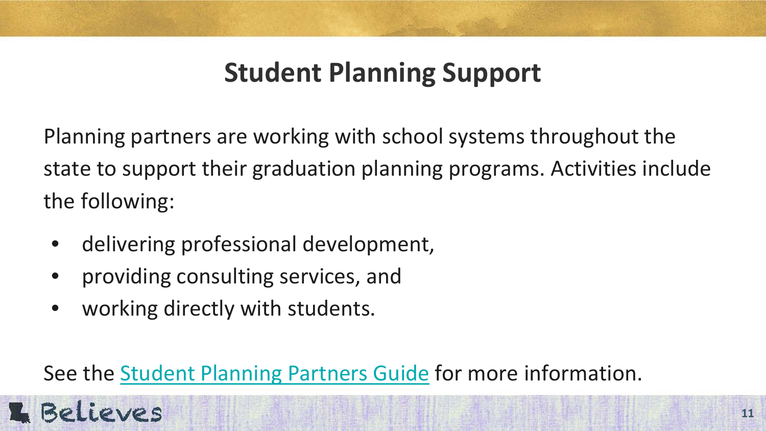# **Student Planning Support**

Planning partners are working with school systems throughout the state to support their graduation planning programs. Activities include the following:

- delivering professional development,
- providing consulting services, and
- working directly with students.

**E** Believes

See the [Student Planning Partners Guide](https://www.louisianabelieves.com/docs/default-source/strong-start-2020/student-planning-partners.pdf?sfvrsn=865a9b1f_4) for more information.

**11**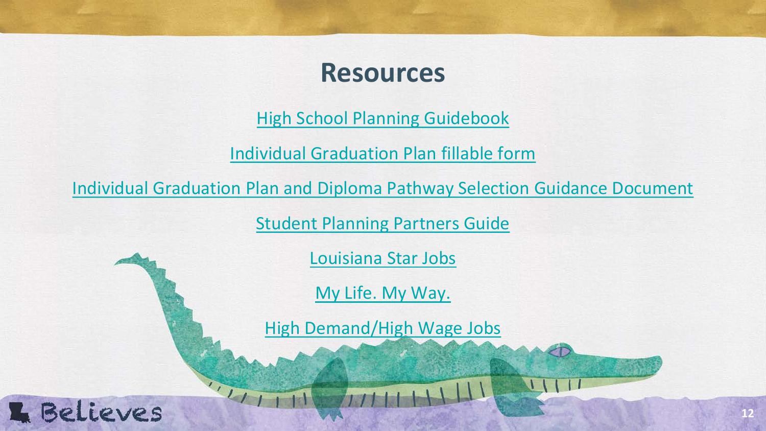#### **Resources**

[High School Planning Guidebook](https://www.louisianabelieves.com/docs/default-source/course-choice/high-school-planning-guidebook.pdf?sfvrsn=1fbd831f_52)

[Individual Graduation Plan fillable form](https://www.louisianabelieves.com/docs/default-source/counselor-toolbox-resources/individual-graduation-plan-igp.pdf?sfvrsn=42068c1f_56)

[Individual Graduation Plan and Diploma Pathway Selection Guidance Document](https://www.louisianabelieves.com/docs/default-source/counselor-toolbox-resources/individual-graduation-plan-guidance-resource.pdf?sfvrsn=22208c1f_22)

[Student Planning Partners Guide](https://www.louisianabelieves.com/docs/default-source/strong-start-2020/student-planning-partners.pdf?sfvrsn=865a9b1f_4)

[Louisiana Star Jobs](https://www2.laworks.net/Stars/default.aspx)

[My Life. My Way.](https://www2.laworks.net/mylife/default.aspx) 

[High Demand/High Wage Jobs](http://www2.laworks.net/LaborMarketInfo/LMI_HighDemandJobs.asp?yearstart=2016&yeartype=LT)